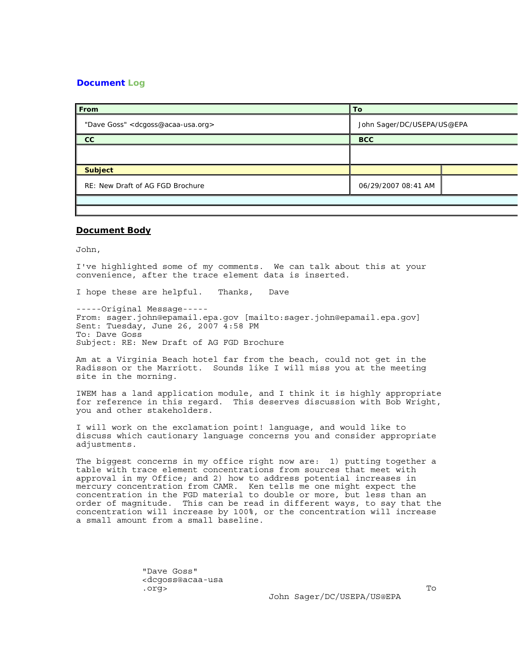## **Document Log**

| From                                                    | To                         |  |
|---------------------------------------------------------|----------------------------|--|
| "Dave Goss" <dcgoss@acaa-usa.org></dcgoss@acaa-usa.org> | John Sager/DC/USEPA/US@EPA |  |
| cc                                                      | <b>BCC</b>                 |  |
|                                                         |                            |  |
| <b>Subject</b>                                          |                            |  |
| RE: New Draft of AG FGD Brochure                        | 06/29/2007 08:41 AM        |  |
|                                                         |                            |  |

## **Document Body**

John,

I've highlighted some of my comments. We can talk about this at your convenience, after the trace element data is inserted.

I hope these are helpful. Thanks, Dave

-----Original Message----- From: sager.john@epamail.epa.gov [mailto:sager.john@epamail.epa.gov] Sent: Tuesday, June 26, 2007 4:58 PM To: Dave Goss Subject: RE: New Draft of AG FGD Brochure

Am at a Virginia Beach hotel far from the beach, could not get in the Radisson or the Marriott. Sounds like I will miss you at the meeting site in the morning.

IWEM has a land application module, and I think it is highly appropriate for reference in this regard. This deserves discussion with Bob Wright, you and other stakeholders.

I will work on the exclamation point! language, and would like to discuss which cautionary language concerns you and consider appropriate adjustments.

The biggest concerns in my office right now are: 1) putting together a table with trace element concentrations from sources that meet with approval in my Office; and 2) how to address potential increases in mercury concentration from CAMR. Ken tells me one might expect the concentration in the FGD material to double or more, but less than an order of magnitude. This can be read in different ways, to say that the concentration will increase by 100%, or the concentration will increase a small amount from a small baseline.

 "Dave Goss" <dcgoss@acaa-usa .org> To

John Sager/DC/USEPA/US@EPA